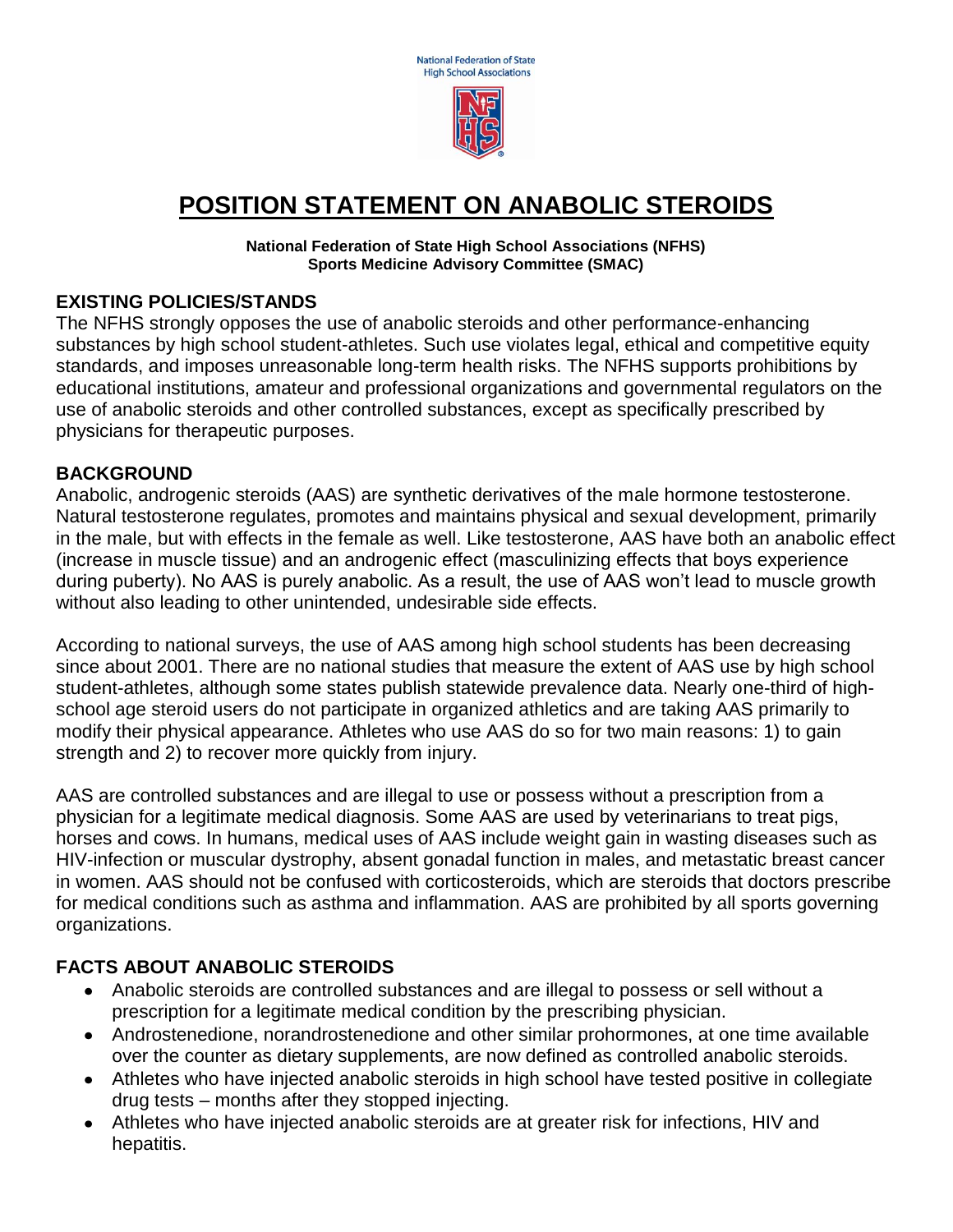

# **POSITION STATEMENT ON ANABOLIC STEROIDS**

#### **National Federation of State High School Associations (NFHS) Sports Medicine Advisory Committee (SMAC)**

#### **EXISTING POLICIES/STANDS**

The NFHS strongly opposes the use of anabolic steroids and other performance-enhancing substances by high school student-athletes. Such use violates legal, ethical and competitive equity standards, and imposes unreasonable long-term health risks. The NFHS supports prohibitions by educational institutions, amateur and professional organizations and governmental regulators on the use of anabolic steroids and other controlled substances, except as specifically prescribed by physicians for therapeutic purposes.

#### **BACKGROUND**

Anabolic, androgenic steroids (AAS) are synthetic derivatives of the male hormone testosterone. Natural testosterone regulates, promotes and maintains physical and sexual development, primarily in the male, but with effects in the female as well. Like testosterone, AAS have both an anabolic effect (increase in muscle tissue) and an androgenic effect (masculinizing effects that boys experience during puberty). No AAS is purely anabolic. As a result, the use of AAS won't lead to muscle growth without also leading to other unintended, undesirable side effects.

According to national surveys, the use of AAS among high school students has been decreasing since about 2001. There are no national studies that measure the extent of AAS use by high school student-athletes, although some states publish statewide prevalence data. Nearly one-third of highschool age steroid users do not participate in organized athletics and are taking AAS primarily to modify their physical appearance. Athletes who use AAS do so for two main reasons: 1) to gain strength and 2) to recover more quickly from injury.

AAS are controlled substances and are illegal to use or possess without a prescription from a physician for a legitimate medical diagnosis. Some AAS are used by veterinarians to treat pigs, horses and cows. In humans, medical uses of AAS include weight gain in wasting diseases such as HIV-infection or muscular dystrophy, absent gonadal function in males, and metastatic breast cancer in women. AAS should not be confused with corticosteroids, which are steroids that doctors prescribe for medical conditions such as asthma and inflammation. AAS are prohibited by all sports governing organizations.

### **FACTS ABOUT ANABOLIC STEROIDS**

- Anabolic steroids are controlled substances and are illegal to possess or sell without a prescription for a legitimate medical condition by the prescribing physician.
- Androstenedione, norandrostenedione and other similar prohormones, at one time available over the counter as dietary supplements, are now defined as controlled anabolic steroids.
- Athletes who have injected anabolic steroids in high school have tested positive in collegiate drug tests – months after they stopped injecting.
- Athletes who have injected anabolic steroids are at greater risk for infections, HIV and hepatitis.